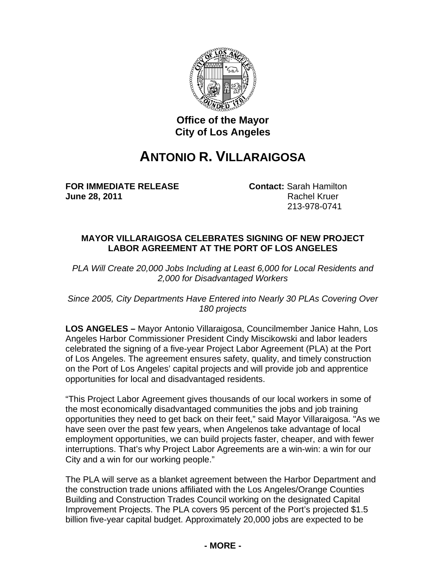

## **Office of the Mayor City of Los Angeles**

## **ANTONIO R. VILLARAIGOSA**

**FOR IMMEDIATE RELEASE Contact:** Sarah Hamilton **June 28, 2011** Rachel Kruer

213-978-0741

## **MAYOR VILLARAIGOSA CELEBRATES SIGNING OF NEW PROJECT LABOR AGREEMENT AT THE PORT OF LOS ANGELES**

*PLA Will Create 20,000 Jobs Including at Least 6,000 for Local Residents and 2,000 for Disadvantaged Workers* 

*Since 2005, City Departments Have Entered into Nearly 30 PLAs Covering Over 180 projects* 

**LOS ANGELES –** Mayor Antonio Villaraigosa, Councilmember Janice Hahn, Los Angeles Harbor Commissioner President Cindy Miscikowski and labor leaders celebrated the signing of a five-year Project Labor Agreement (PLA) at the Port of Los Angeles. The agreement ensures safety, quality, and timely construction on the Port of Los Angeles' capital projects and will provide job and apprentice opportunities for local and disadvantaged residents.

"This Project Labor Agreement gives thousands of our local workers in some of the most economically disadvantaged communities the jobs and job training opportunities they need to get back on their feet," said Mayor Villaraigosa. "As we have seen over the past few years, when Angelenos take advantage of local employment opportunities, we can build projects faster, cheaper, and with fewer interruptions. That's why Project Labor Agreements are a win-win: a win for our City and a win for our working people."

The PLA will serve as a blanket agreement between the Harbor Department and the construction trade unions affiliated with the Los Angeles/Orange Counties Building and Construction Trades Council working on the designated Capital Improvement Projects. The PLA covers 95 percent of the Port's projected \$1.5 billion five-year capital budget. Approximately 20,000 jobs are expected to be